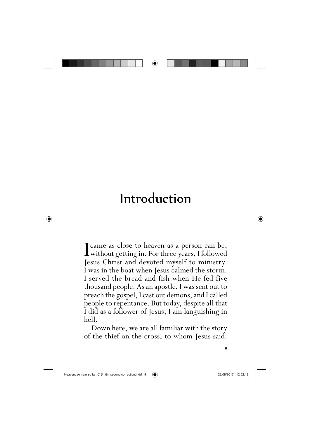

## Introduction

I came as close to heaven as a person can be,<br>without getting in. For three years, I followed<br>lesus Christ and devoted myself to ministry Jesus Christ and devoted myself to ministry. I was in the boat when Jesus calmed the storm. I served the bread and fish when He fed five thousand people. As an apostle, I was sent out to preach the gospel, I cast out demons, and I called people to repentance. But today, despite all that I did as a follower of Jesus, I am languishing in hell.

Down here, we are all familiar with the story of the thief on the cross, to whom Jesus said:

⊕

⊕

9